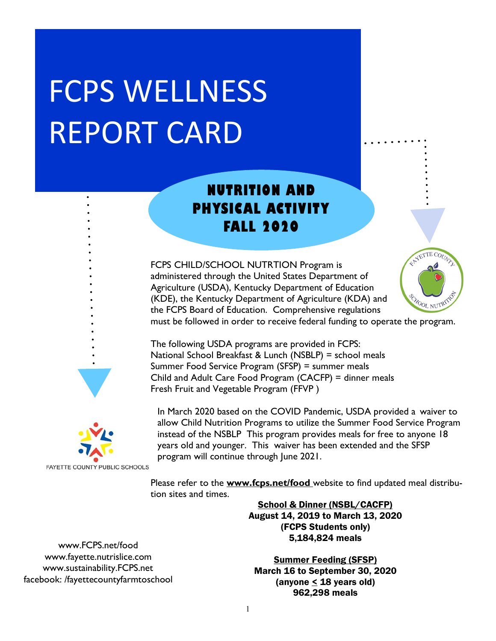# FCPS WELLNESS REPORT CARD

## **NUTRITION AND PHYSICAL ACTIVITY FALL 2020**

FCPS CHILD/SCHOOL NUTRTION Program is administered through the United States Department of Agriculture (USDA), Kentucky Department of Education (KDE), the Kentucky Department of Agriculture (KDA) and the FCPS Board of Education. Comprehensive regulations



must be followed in order to receive federal funding to operate the program.

The following USDA programs are provided in FCPS: National School Breakfast & Lunch (NSBLP) = school meals Summer Food Service Program (SFSP) = summer meals Child and Adult Care Food Program (CACFP) = dinner meals Fresh Fruit and Vegetable Program (FFVP )



In March 2020 based on the COVID Pandemic, USDA provided a waiver to allow Child Nutrition Programs to utilize the Summer Food Service Program instead of the NSBLP This program provides meals for free to anyone 18 years old and younger. This waiver has been extended and the SFSP program will continue through June 2021.

**FAYETTE COUNTY PUBLIC SCHOOLS** 

Please refer to the **www.fcps.net/food** website to find updated meal distribution sites and times.

> School & Dinner (NSBL/CACFP) August 14, 2019 to March 13, 2020 (FCPS Students only) 5,184,824 meals

www.FCPS.net/food www.fayette.nutrislice.com www.sustainability.FCPS.net facebook: /fayettecountyfarmtoschool

Summer Feeding (SFSP) March 16 to September 30, 2020 (anyone  $\leq$  18 years old) 962,298 meals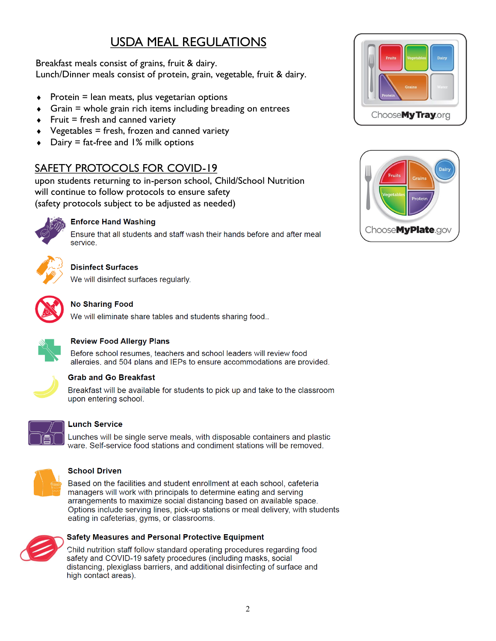## USDA MEAL REGULATIONS

#### Breakfast meals consist of grains, fruit & dairy. Lunch/Dinner meals consist of protein, grain, vegetable, fruit & dairy.

- $\triangleleft$  Protein = lean meats, plus vegetarian options
- Grain = whole grain rich items including breading on entrees
- Fruit = fresh and canned variety
- Vegetables = fresh, frozen and canned variety
- Dairy = fat-free and 1% milk options

### SAFETY PROTOCOLS FOR COVID-19

upon students returning to in-person school, Child/School Nutrition will continue to follow protocols to ensure safety (safety protocols subject to be adjusted as needed)



#### **Enforce Hand Washing**

Ensure that all students and staff wash their hands before and after meal service



#### **Disinfect Surfaces**

We will disinfect surfaces regularly.



#### **No Sharing Food**

We will eliminate share tables and students sharing food..



#### **Review Food Allergy Plans**

Before school resumes, teachers and school leaders will review food allergies, and 504 plans and IEPs to ensure accommodations are provided.



#### **Grab and Go Breakfast**

Breakfast will be available for students to pick up and take to the classroom upon entering school.



#### **Lunch Service**

Lunches will be single serve meals, with disposable containers and plastic ware. Self-service food stations and condiment stations will be removed.



#### **School Driven**

Based on the facilities and student enrollment at each school, cafeteria managers will work with principals to determine eating and serving arrangements to maximize social distancing based on available space. Options include serving lines, pick-up stations or meal delivery, with students eating in cafeterias, gyms, or classrooms.



#### Safety Measures and Personal Protective Equipment

Child nutrition staff follow standard operating procedures regarding food safety and COVID-19 safety procedures (including masks, social distancing, plexiglass barriers, and additional disinfecting of surface and high contact areas).